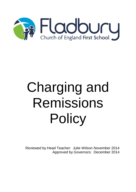

# Charging and Remissions Policy

Reviewed by Head Teacher: Julie Wilson November 2014 Approved by Governors: December 2014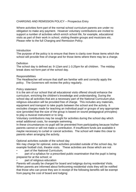# CHARGING AND REMISSION POLICY – Prospectus Entry

Where activities form part of the normal school curriculum parents are under no obligation to make any payment. However voluntary contributions are invited to support a number of activities which enrich school life, for example, educational visits as part of their work in school, visiting theatre groups and musicians etc. Please refer to the full Charging and Remission Policy.

# **Introduction**

The purpose of the policy is to ensure that there is clarity over those items which the school will provide free of charge and for those items where there may be a charge.

### **Definition**

The school day is defined as: 9-12am and 1-3.25pm for all children. The midday break does not form part of the school day.

### **Responsibilities**

The Headteacher will ensure that staff are familiar with and correctly apply the policy. The Governors will review the policy regularly.

### Policy statement

It is the aim of our school that all educational visits offered should enhance the curriculum, enriching the children's knowledge and understanding. During the school day all activities that are a necessary part of the National Curriculum plus religious education will be provided free of charge. This includes any materials, equipment and transport to take pupils between the school and the activity. It excludes charges made for teaching an individual pupil or groups of any appropriate size (provided that the size of the group is based on sound pedagogical principles) to play a musical instrument or to sing.

Voluntary contributions may be sought for activities during the school day which entail additional costs, for example swimming.

In these circumstances no pupil will be prevented from participating because his/her parents cannot or will not make a contribution. If insufficient funds are available it maybe necessary to curtail or cancel activities. The school will make this clear to parents when arranging the activity.

# Optional activities outside of the school day

We may charge for optional, extra activities provided outside of the school day, for example football club, theatre visits. These activities are those which are not

- part of the National Curriculum;
- part of a syllabus for a prescribed public examination that the pupil is being prepared for at the school; or
- part of religious education

Parents will usually be charged for board and lodgings during residential Visits. When parents are informed about forthcoming residential visits they will be notified that those who can prove they are in receipt of the following benefits will be exempt from paying the cost of board and lodging: